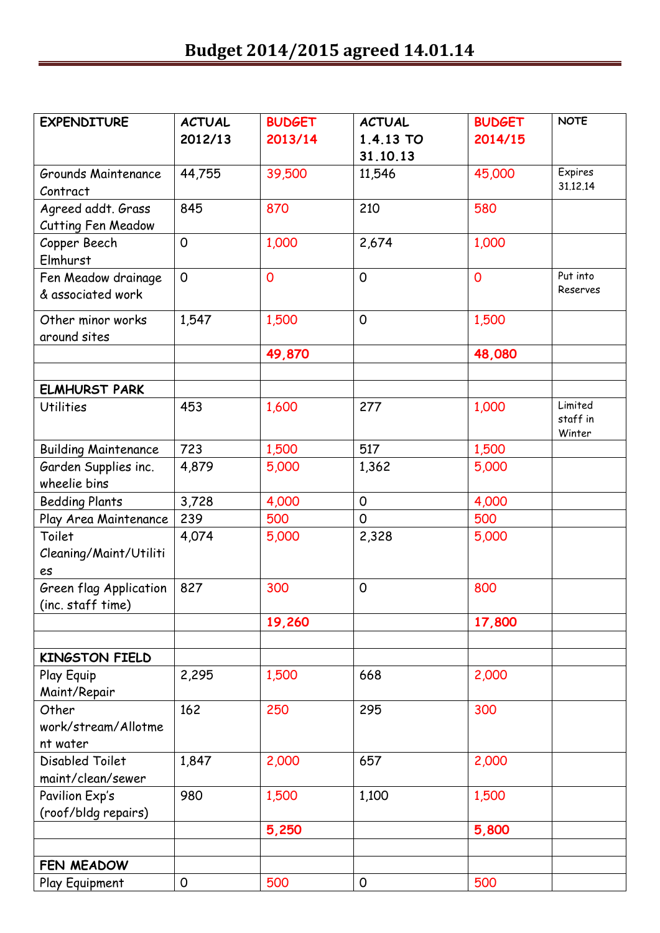| <b>EXPENDITURE</b>          | <b>ACTUAL</b>       | <b>BUDGET</b>  | <b>ACTUAL</b> | <b>BUDGET</b>  | <b>NOTE</b>        |
|-----------------------------|---------------------|----------------|---------------|----------------|--------------------|
|                             | 2012/13             | 2013/14        | 1.4.13 TO     | 2014/15        |                    |
|                             |                     |                | 31.10.13      |                |                    |
| Grounds Maintenance         | 44,755              | 39,500         | 11,546        | 45,000         | Expires            |
| Contract                    |                     |                |               |                | 31.12.14           |
| Agreed addt. Grass          | 845                 | 870            | 210           | 580            |                    |
| <b>Cutting Fen Meadow</b>   |                     |                |               |                |                    |
| Copper Beech                | $\mathbf 0$         | 1,000          | 2,674         | 1,000          |                    |
| Elmhurst                    |                     |                |               |                |                    |
| Fen Meadow drainage         | $\mathsf{O}$        | $\overline{0}$ | 0             | $\overline{0}$ | Put into           |
| & associated work           |                     |                |               |                | Reserves           |
| Other minor works           | 1,547               | 1,500          | 0             | 1,500          |                    |
| around sites                |                     |                |               |                |                    |
|                             |                     | 49,870         |               | 48,080         |                    |
|                             |                     |                |               |                |                    |
| <b>ELMHURST PARK</b>        |                     |                |               |                |                    |
| <b>Utilities</b>            | 453                 | 1,600          | 277           | 1,000          | Limited            |
|                             |                     |                |               |                | staff in<br>Winter |
| <b>Building Maintenance</b> | 723                 | 1,500          | 517           | 1,500          |                    |
| Garden Supplies inc.        | 4,879               | 5,000          | 1,362         | 5,000          |                    |
| wheelie bins                |                     |                |               |                |                    |
| <b>Bedding Plants</b>       | 3,728               | 4,000          | $\mathsf{O}$  | 4,000          |                    |
| Play Area Maintenance       | 239                 | 500            | $\mathsf{O}$  | 500            |                    |
| Toilet                      | 4,074               | 5,000          | 2,328         | 5,000          |                    |
| Cleaning/Maint/Utiliti      |                     |                |               |                |                    |
| es                          |                     |                |               |                |                    |
| Green flag Application      | 827                 | 300            | 0             | 800            |                    |
| (inc. staff time)           |                     |                |               |                |                    |
|                             |                     | 19,260         |               | 17,800         |                    |
|                             |                     |                |               |                |                    |
| <b>KINGSTON FIELD</b>       |                     |                |               |                |                    |
| Play Equip                  | 2,295               | 1,500          | 668           | 2,000          |                    |
| Maint/Repair                |                     |                |               |                |                    |
| Other                       | 162                 | 250            | 295           | 300            |                    |
| work/stream/Allotme         |                     |                |               |                |                    |
| nt water                    |                     |                |               |                |                    |
| Disabled Toilet             | 1,847               | 2,000          | 657           | 2,000          |                    |
| maint/clean/sewer           |                     |                |               |                |                    |
| Pavilion Exp's              | 980                 | 1,500          | 1,100         | 1,500          |                    |
| (roof/bldg repairs)         |                     |                |               |                |                    |
|                             |                     | 5,250          |               | 5,800          |                    |
|                             |                     |                |               |                |                    |
| FEN MEADOW                  |                     |                |               |                |                    |
| Play Equipment              | $\mathsf{O}\xspace$ | 500            | 0             | 500            |                    |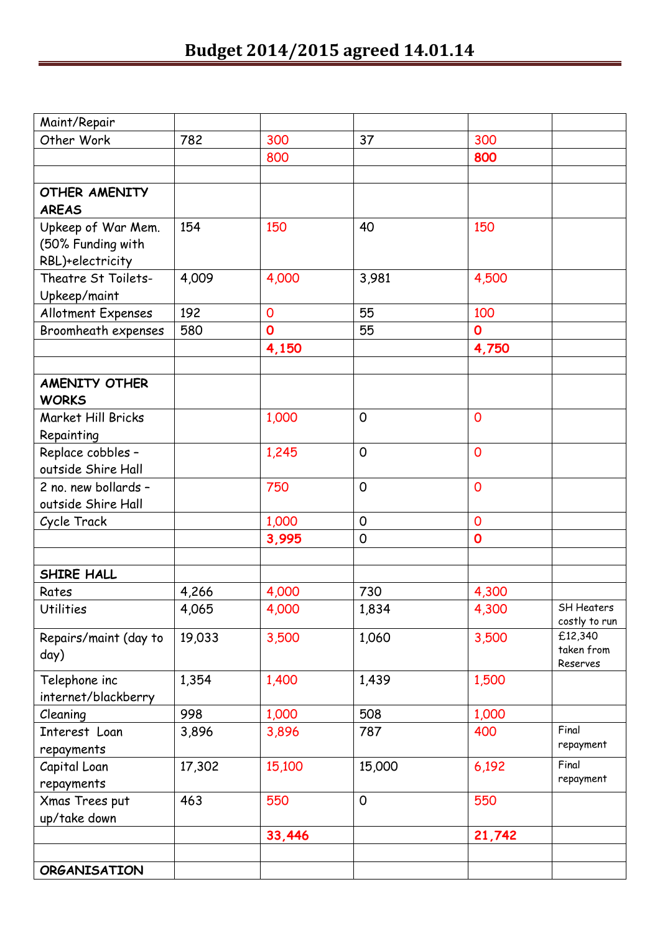| Maint/Repair                       |        |             |             |                |                   |
|------------------------------------|--------|-------------|-------------|----------------|-------------------|
| Other Work                         | 782    | 300         | 37          | 300            |                   |
|                                    |        | 800         |             | 800            |                   |
|                                    |        |             |             |                |                   |
| <b>OTHER AMENITY</b>               |        |             |             |                |                   |
| <b>AREAS</b>                       |        |             |             |                |                   |
| Upkeep of War Mem.                 | 154    | 150         | 40          | 150            |                   |
| (50% Funding with                  |        |             |             |                |                   |
| RBL)+electricity                   |        |             |             |                |                   |
| Theatre St Toilets-                | 4,009  | 4,000       | 3,981       | 4,500          |                   |
| Upkeep/maint                       |        |             |             |                |                   |
| Allotment Expenses                 | 192    | $\mathbf 0$ | 55          | 100            |                   |
| Broomheath expenses                | 580    | $\mathbf 0$ | 55          | $\mathbf 0$    |                   |
|                                    |        | 4,150       |             | 4,750          |                   |
|                                    |        |             |             |                |                   |
| <b>AMENITY OTHER</b>               |        |             |             |                |                   |
| <b>WORKS</b><br>Market Hill Bricks |        |             | 0           | $\overline{0}$ |                   |
|                                    |        | 1,000       |             |                |                   |
| Repainting<br>Replace cobbles -    |        | 1,245       | 0           | $\overline{0}$ |                   |
| outside Shire Hall                 |        |             |             |                |                   |
| 2 no. new bollards -               |        | 750         | 0           | $\overline{0}$ |                   |
| outside Shire Hall                 |        |             |             |                |                   |
| Cycle Track                        |        | 1,000       | $\mathbf 0$ | $\overline{0}$ |                   |
|                                    |        | 3,995       | $\mathbf 0$ | $\mathbf 0$    |                   |
|                                    |        |             |             |                |                   |
| SHIRE HALL                         |        |             |             |                |                   |
| Rates                              | 4,266  | 4,000       | 730         | 4,300          |                   |
| <b>Utilities</b>                   | 4,065  | 4,000       | 1,834       | 4,300          | <b>SH Heaters</b> |
|                                    |        |             |             |                | costly to run     |
| Repairs/maint (day to              | 19,033 | 3,500       | 1,060       | 3,500          | £12,340           |
| day)                               |        |             |             |                | taken from        |
| Telephone inc                      | 1,354  | 1,400       | 1,439       | 1,500          | Reserves          |
| internet/blackberry                |        |             |             |                |                   |
| Cleaning                           | 998    | 1,000       | 508         | 1,000          |                   |
| Interest Loan                      | 3,896  | 3,896       | 787         | 400            | Final             |
| repayments                         |        |             |             |                | repayment         |
| Capital Loan                       | 17,302 | 15,100      | 15,000      | 6,192          | Final             |
| repayments                         |        |             |             |                | repayment         |
| Xmas Trees put                     | 463    | 550         | 0           | 550            |                   |
| up/take down                       |        |             |             |                |                   |
|                                    |        | 33,446      |             | 21,742         |                   |
|                                    |        |             |             |                |                   |
| <b>ORGANISATION</b>                |        |             |             |                |                   |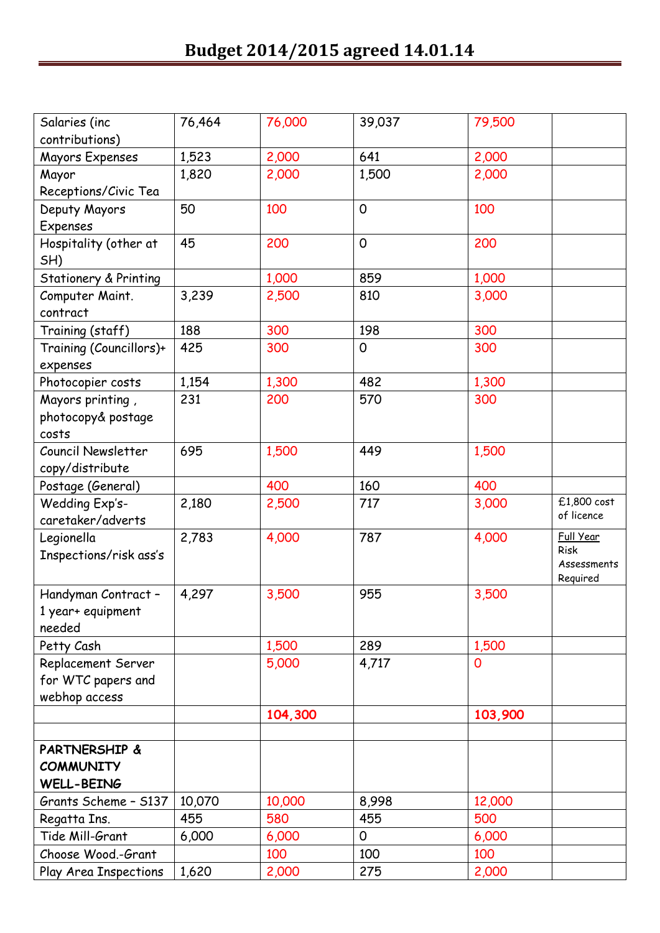| Salaries (inc           | 76,464 | 76,000  | 39,037       | 79,500  |                            |
|-------------------------|--------|---------|--------------|---------|----------------------------|
| contributions)          |        |         |              |         |                            |
| Mayors Expenses         | 1,523  | 2,000   | 641          | 2,000   |                            |
| Mayor                   | 1,820  | 2,000   | 1,500        | 2,000   |                            |
| Receptions/Civic Tea    |        |         |              |         |                            |
| Deputy Mayors           | 50     | 100     | $\Omega$     | 100     |                            |
| Expenses                |        |         |              |         |                            |
| Hospitality (other at   | 45     | 200     | $\mathsf{O}$ | 200     |                            |
| SH)                     |        |         |              |         |                            |
| Stationery & Printing   |        | 1,000   | 859          | 1,000   |                            |
| Computer Maint.         | 3,239  | 2,500   | 810          | 3,000   |                            |
| contract                |        |         |              |         |                            |
| Training (staff)        | 188    | 300     | 198          | 300     |                            |
| Training (Councillors)+ | 425    | 300     | 0            | 300     |                            |
| expenses                |        |         |              |         |                            |
| Photocopier costs       | 1,154  | 1,300   | 482          | 1,300   |                            |
| Mayors printing,        | 231    | 200     | 570          | 300     |                            |
| photocopy& postage      |        |         |              |         |                            |
| costs                   |        |         |              |         |                            |
| Council Newsletter      | 695    | 1,500   | 449          | 1,500   |                            |
| copy/distribute         |        |         |              |         |                            |
| Postage (General)       |        | 400     | 160          | 400     |                            |
| Wedding Exp's-          | 2,180  | 2,500   | 717          | 3,000   | £1,800 cost                |
| caretaker/adverts       |        |         |              |         | of licence                 |
| Legionella              | 2,783  | 4,000   | 787          | 4,000   | Full Year                  |
| Inspections/risk ass's  |        |         |              |         | <b>Risk</b><br>Assessments |
|                         |        |         |              |         | Required                   |
| Handyman Contract -     | 4,297  | 3,500   | 955          | 3,500   |                            |
| 1 year+ equipment       |        |         |              |         |                            |
| needed                  |        |         |              |         |                            |
| Petty Cash              |        | 1,500   | 289          | 1,500   |                            |
| Replacement Server      |        | 5,000   | 4,717        | 0       |                            |
| for WTC papers and      |        |         |              |         |                            |
| webhop access           |        |         |              |         |                            |
|                         |        | 104,300 |              | 103,900 |                            |
|                         |        |         |              |         |                            |
| PARTNERSHIP &           |        |         |              |         |                            |
| <b>COMMUNITY</b>        |        |         |              |         |                            |
| <b>WELL-BEING</b>       |        |         |              |         |                            |
| Grants Scheme - S137    | 10,070 | 10,000  | 8,998        | 12,000  |                            |
| Regatta Ins.            | 455    | 580     | 455          | 500     |                            |
| Tide Mill-Grant         | 6,000  | 6,000   | 0            | 6,000   |                            |
| Choose Wood.-Grant      |        | 100     | 100          | 100     |                            |
| Play Area Inspections   | 1,620  | 2,000   | 275          | 2,000   |                            |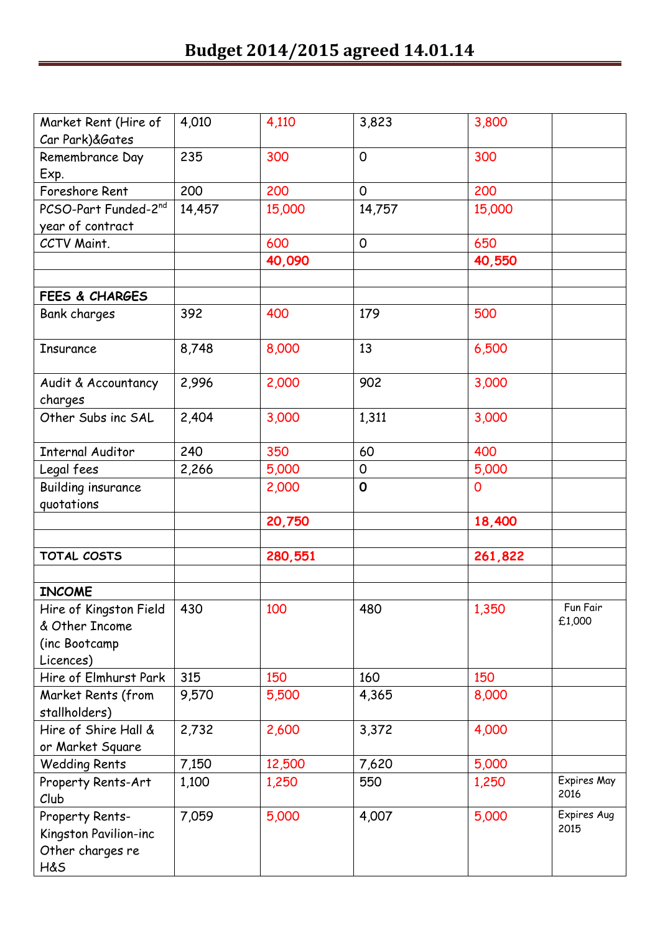| Market Rent (Hire of<br>Car Park)&Gates                                | 4,010  | 4,110   | 3,823        | 3,800   |                     |
|------------------------------------------------------------------------|--------|---------|--------------|---------|---------------------|
| Remembrance Day<br>Exp.                                                | 235    | 300     | $\mathsf{O}$ | 300     |                     |
| Foreshore Rent                                                         | 200    | 200     | $\mathsf{O}$ | 200     |                     |
| PCSO-Part Funded-2nd                                                   | 14,457 | 15,000  | 14,757       | 15,000  |                     |
| year of contract                                                       |        |         |              |         |                     |
| CCTV Maint.                                                            |        | 600     | $\mathsf{O}$ | 650     |                     |
|                                                                        |        | 40,090  |              | 40,550  |                     |
|                                                                        |        |         |              |         |                     |
| FEES & CHARGES                                                         |        |         |              |         |                     |
| <b>Bank charges</b>                                                    | 392    | 400     | 179          | 500     |                     |
| Insurance                                                              | 8,748  | 8,000   | 13           | 6,500   |                     |
| Audit & Accountancy<br>charges                                         | 2,996  | 2,000   | 902          | 3,000   |                     |
| Other Subs inc SAL                                                     | 2,404  | 3,000   | 1,311        | 3,000   |                     |
| <b>Internal Auditor</b>                                                | 240    | 350     | 60           | 400     |                     |
| Legal fees                                                             | 2,266  | 5,000   | 0            | 5,000   |                     |
| Building insurance                                                     |        | 2,000   | $\mathbf 0$  | 0       |                     |
| quotations                                                             |        |         |              |         |                     |
|                                                                        |        | 20,750  |              | 18,400  |                     |
|                                                                        |        |         |              |         |                     |
| TOTAL COSTS                                                            |        | 280,551 |              | 261,822 |                     |
|                                                                        |        |         |              |         |                     |
| <b>INCOME</b>                                                          |        |         |              |         |                     |
| Hire of Kingston Field<br>& Other Income<br>(inc Bootcamp<br>Licences) | 430    | 100     | 480          | 1,350   | Fun Fair<br>£1,000  |
| Hire of Elmhurst Park                                                  | 315    | 150     | 160          | 150     |                     |
| Market Rents (from<br>stallholders)                                    | 9,570  | 5,500   | 4,365        | 8,000   |                     |
| Hire of Shire Hall &                                                   | 2,732  | 2,600   | 3,372        | 4,000   |                     |
| or Market Square                                                       |        |         |              |         |                     |
| <b>Wedding Rents</b>                                                   | 7,150  | 12,500  | 7,620        | 5,000   |                     |
| Property Rents-Art<br>Club                                             | 1,100  | 1,250   | 550          | 1,250   | Expires May<br>2016 |
| Property Rents-<br>Kingston Pavilion-inc<br>Other charges re<br>H&S    | 7,059  | 5,000   | 4,007        | 5,000   | Expires Aug<br>2015 |